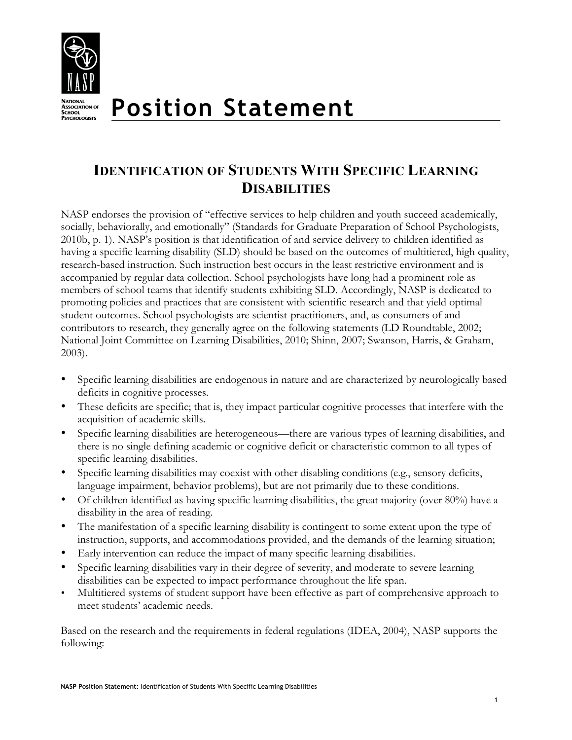

# **IDENTIFICATION OF STUDENTS WITH SPECIFIC LEARNING DISABILITIES**

NASP endorses the provision of "effective services to help children and youth succeed academically, socially, behaviorally, and emotionally" (Standards for Graduate Preparation of School Psychologists, 2010b, p. 1). NASP's position is that identification of and service delivery to children identified as having a specific learning disability (SLD) should be based on the outcomes of multitiered, high quality, research-based instruction. Such instruction best occurs in the least restrictive environment and is accompanied by regular data collection. School psychologists have long had a prominent role as members of school teams that identify students exhibiting SLD. Accordingly, NASP is dedicated to promoting policies and practices that are consistent with scientific research and that yield optimal student outcomes. School psychologists are scientist-practitioners, and, as consumers of and contributors to research, they generally agree on the following statements (LD Roundtable, 2002; National Joint Committee on Learning Disabilities, 2010; Shinn, 2007; Swanson, Harris, & Graham, 2003).

- Specific learning disabilities are endogenous in nature and are characterized by neurologically based deficits in cognitive processes.
- These deficits are specific; that is, they impact particular cognitive processes that interfere with the acquisition of academic skills.
- Specific learning disabilities are heterogeneous—there are various types of learning disabilities, and there is no single defining academic or cognitive deficit or characteristic common to all types of specific learning disabilities.
- Specific learning disabilities may coexist with other disabling conditions (e.g., sensory deficits, language impairment, behavior problems), but are not primarily due to these conditions.
- Of children identified as having specific learning disabilities, the great majority (over 80%) have a disability in the area of reading.
- The manifestation of a specific learning disability is contingent to some extent upon the type of instruction, supports, and accommodations provided, and the demands of the learning situation;
- Early intervention can reduce the impact of many specific learning disabilities.
- Specific learning disabilities vary in their degree of severity, and moderate to severe learning disabilities can be expected to impact performance throughout the life span.
- Multitiered systems of student support have been effective as part of comprehensive approach to meet students' academic needs.

Based on the research and the requirements in federal regulations (IDEA, 2004), NASP supports the following: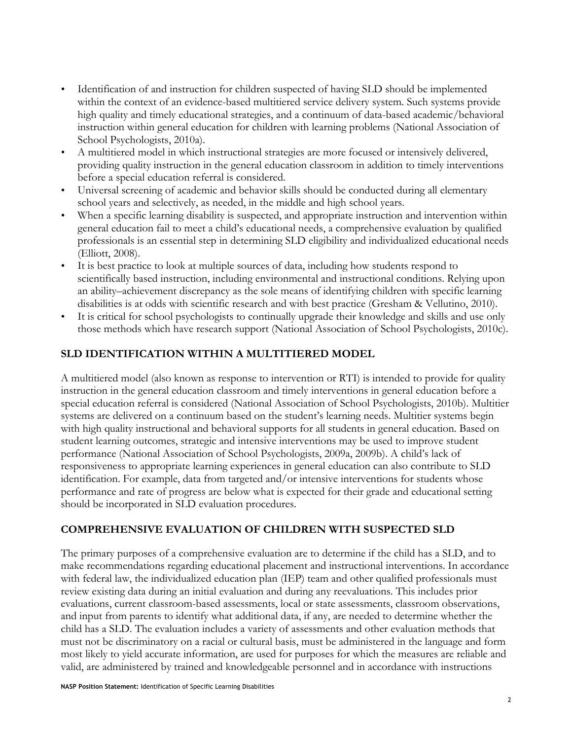- Identification of and instruction for children suspected of having SLD should be implemented within the context of an evidence-based multitiered service delivery system. Such systems provide high quality and timely educational strategies, and a continuum of data-based academic/behavioral instruction within general education for children with learning problems (National Association of School Psychologists, 2010a).
- A multitiered model in which instructional strategies are more focused or intensively delivered, providing quality instruction in the general education classroom in addition to timely interventions before a special education referral is considered.
- Universal screening of academic and behavior skills should be conducted during all elementary school years and selectively, as needed, in the middle and high school years.
- When a specific learning disability is suspected, and appropriate instruction and intervention within general education fail to meet a child's educational needs, a comprehensive evaluation by qualified professionals is an essential step in determining SLD eligibility and individualized educational needs (Elliott, 2008).
- It is best practice to look at multiple sources of data, including how students respond to scientifically based instruction, including environmental and instructional conditions. Relying upon an ability–achievement discrepancy as the sole means of identifying children with specific learning disabilities is at odds with scientific research and with best practice (Gresham & Vellutino, 2010).
- It is critical for school psychologists to continually upgrade their knowledge and skills and use only those methods which have research support (National Association of School Psychologists, 2010c).

## **SLD IDENTIFICATION WITHIN A MULTITIERED MODEL**

A multitiered model (also known as response to intervention or RTI) is intended to provide for quality instruction in the general education classroom and timely interventions in general education before a special education referral is considered (National Association of School Psychologists, 2010b). Multitier systems are delivered on a continuum based on the student's learning needs. Multitier systems begin with high quality instructional and behavioral supports for all students in general education. Based on student learning outcomes, strategic and intensive interventions may be used to improve student performance (National Association of School Psychologists, 2009a, 2009b). A child's lack of responsiveness to appropriate learning experiences in general education can also contribute to SLD identification. For example, data from targeted and/or intensive interventions for students whose performance and rate of progress are below what is expected for their grade and educational setting should be incorporated in SLD evaluation procedures.

### **COMPREHENSIVE EVALUATION OF CHILDREN WITH SUSPECTED SLD**

The primary purposes of a comprehensive evaluation are to determine if the child has a SLD, and to make recommendations regarding educational placement and instructional interventions. In accordance with federal law, the individualized education plan (IEP) team and other qualified professionals must review existing data during an initial evaluation and during any reevaluations. This includes prior evaluations, current classroom-based assessments, local or state assessments, classroom observations, and input from parents to identify what additional data, if any, are needed to determine whether the child has a SLD. The evaluation includes a variety of assessments and other evaluation methods that must not be discriminatory on a racial or cultural basis, must be administered in the language and form most likely to yield accurate information, are used for purposes for which the measures are reliable and valid, are administered by trained and knowledgeable personnel and in accordance with instructions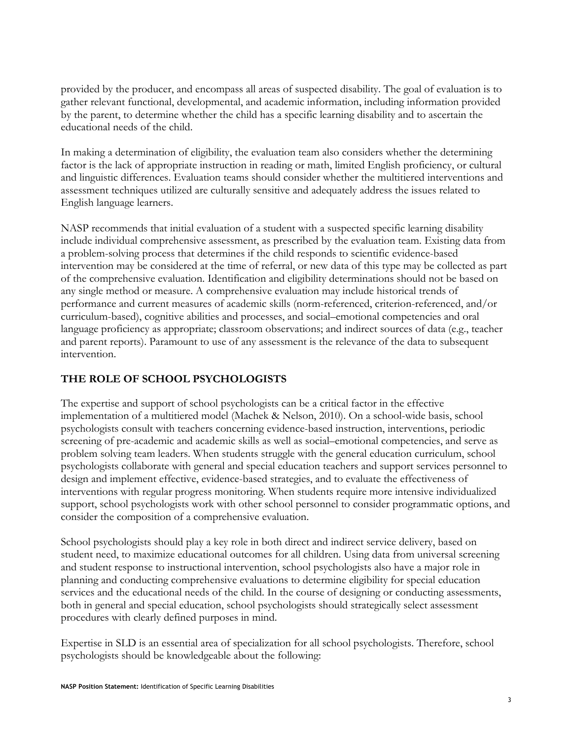provided by the producer, and encompass all areas of suspected disability. The goal of evaluation is to gather relevant functional, developmental, and academic information, including information provided by the parent, to determine whether the child has a specific learning disability and to ascertain the educational needs of the child.

In making a determination of eligibility, the evaluation team also considers whether the determining factor is the lack of appropriate instruction in reading or math, limited English proficiency, or cultural and linguistic differences. Evaluation teams should consider whether the multitiered interventions and assessment techniques utilized are culturally sensitive and adequately address the issues related to English language learners.

NASP recommends that initial evaluation of a student with a suspected specific learning disability include individual comprehensive assessment, as prescribed by the evaluation team. Existing data from a problem-solving process that determines if the child responds to scientific evidence-based intervention may be considered at the time of referral, or new data of this type may be collected as part of the comprehensive evaluation. Identification and eligibility determinations should not be based on any single method or measure. A comprehensive evaluation may include historical trends of performance and current measures of academic skills (norm-referenced, criterion-referenced, and/or curriculum-based), cognitive abilities and processes, and social–emotional competencies and oral language proficiency as appropriate; classroom observations; and indirect sources of data (e.g., teacher and parent reports). Paramount to use of any assessment is the relevance of the data to subsequent intervention.

### **THE ROLE OF SCHOOL PSYCHOLOGISTS**

The expertise and support of school psychologists can be a critical factor in the effective implementation of a multitiered model (Machek & Nelson, 2010). On a school-wide basis, school psychologists consult with teachers concerning evidence-based instruction, interventions, periodic screening of pre-academic and academic skills as well as social–emotional competencies, and serve as problem solving team leaders. When students struggle with the general education curriculum, school psychologists collaborate with general and special education teachers and support services personnel to design and implement effective, evidence-based strategies, and to evaluate the effectiveness of interventions with regular progress monitoring. When students require more intensive individualized support, school psychologists work with other school personnel to consider programmatic options, and consider the composition of a comprehensive evaluation.

School psychologists should play a key role in both direct and indirect service delivery, based on student need, to maximize educational outcomes for all children. Using data from universal screening and student response to instructional intervention, school psychologists also have a major role in planning and conducting comprehensive evaluations to determine eligibility for special education services and the educational needs of the child. In the course of designing or conducting assessments, both in general and special education, school psychologists should strategically select assessment procedures with clearly defined purposes in mind.

Expertise in SLD is an essential area of specialization for all school psychologists. Therefore, school psychologists should be knowledgeable about the following: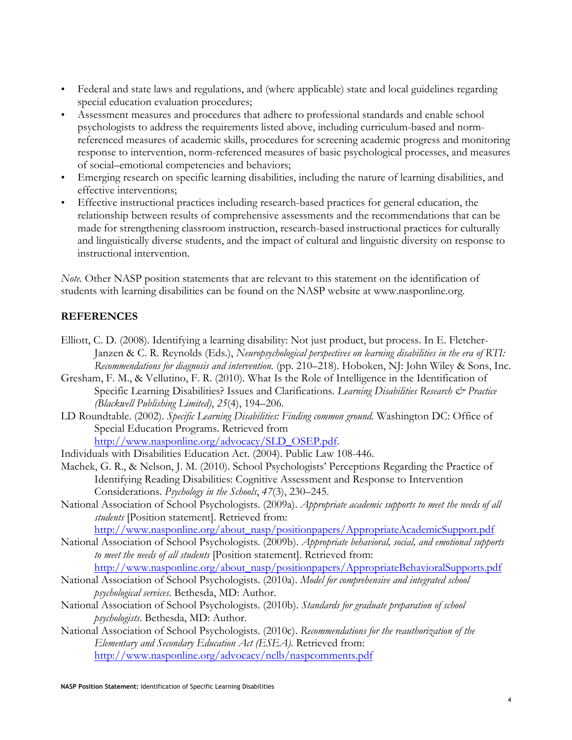- Federal and state laws and regulations, and (where applicable) state and local guidelines regarding special education evaluation procedures;
- Assessment measures and procedures that adhere to professional standards and enable school psychologists to address the requirements listed above, including curriculum-based and normreferenced measures of academic skills, procedures for screening academic progress and monitoring response to intervention, norm-referenced measures of basic psychological processes, and measures of social–emotional competencies and behaviors;
- Emerging research on specific learning disabilities, including the nature of learning disabilities, and effective interventions;
- Effective instructional practices including research-based practices for general education, the relationship between results of comprehensive assessments and the recommendations that can be made for strengthening classroom instruction, research-based instructional practices for culturally and linguistically diverse students, and the impact of cultural and linguistic diversity on response to instructional intervention.

*Note.* Other NASP position statements that are relevant to this statement on the identification of students with learning disabilities can be found on the NASP website at www.nasponline.org*.*

#### **REFERENCES**

- Elliott, C. D. (2008). Identifying a learning disability: Not just product, but process. In E. Fletcher-Janzen & C. R. Reynolds (Eds.), *Neuropsychological perspectives on learning disabilities in the era of RTI: Recommendations for diagnosis and intervention.* (pp. 210–218). Hoboken, NJ: John Wiley & Sons, Inc.
- Gresham, F. M., & Vellutino, F. R. (2010). What Is the Role of Intelligence in the Identification of Specific Learning Disabilities? Issues and Clarifications. *Learning Disabilities Research & Practice (Blackwell Publishing Limited)*, *25*(4), 194–206.
- LD Roundtable. (2002). *Specific Learning Disabilities: Finding common ground.* Washington DC: Office of Special Education Programs. Retrieved from http://www.nasponline.org/advocacy/SLD\_OSEP.pdf.
- Individuals with Disabilities Education Act. (2004). Public Law 108-446.
- Machek, G. R., & Nelson, J. M. (2010). School Psychologists' Perceptions Regarding the Practice of Identifying Reading Disabilities: Cognitive Assessment and Response to Intervention Considerations. *Psychology in the Schools*, *47*(3), 230–245.
- National Association of School Psychologists. (2009a). *Appropriate academic supports to meet the needs of all students* [Position statement]. Retrieved from: http://www.nasponline.org/about\_nasp/positionpapers/AppropriateAcademicSupport.pdf
- National Association of School Psychologists. (2009b). *Appropriate behavioral, social, and emotional supports to meet the needs of all students* [Position statement]. Retrieved from:
- http://www.nasponline.org/about\_nasp/positionpapers/AppropriateBehavioralSupports.pdf National Association of School Psychologists. (2010a). *Model for comprehensive and integrated school psychological services*. Bethesda, MD: Author.
- National Association of School Psychologists. (2010b). *Standards for graduate preparation of school psychologists*. Bethesda, MD: Author.
- National Association of School Psychologists. (2010c). *Recommendations for the reauthorization of the Elementary and Secondary Education Act (ESEA)*. Retrieved from: http://www.nasponline.org/advocacy/nclb/naspcomments.pdf